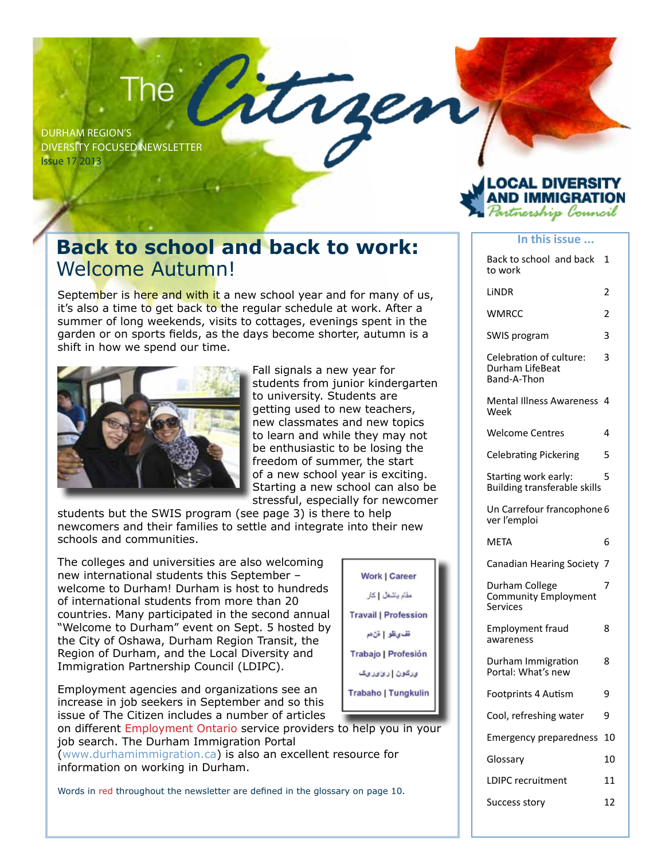## The  $\overline{ }$

Durham Region's Diversity Focused Newsletter Issue 17 2013



**In this issue ...**

#### **Back to school and back to work:** Welcome Autumn!

September is here and with it a new school year and for many of us, it's also a time to get back to the regular schedule at work. After a summer of long weekends, visits to cottages, evenings spent in the garden or on sports fields, as the days become shorter, autumn is a shift in how we spend our time.



Fall signals a new year for students from junior kindergarten to university. Students are getting used to new teachers, new classmates and new topics to learn and while they may not be enthusiastic to be losing the freedom of summer, the start of a new school year is exciting. Starting a new school can also be stressful, especially for newcomer

rre

students but the SWIS program (see page 3) is there to help newcomers and their families to settle and integrate into their new schools and communities.

The colleges and universities are also welcoming new international students this September – welcome to Durham! Durham is host to hundreds of international students from more than 20 countries. Many participated in the second annual "Welcome to Durham" event on Sept. 5 hosted by the City of Oshawa, Durham Region Transit, the Region of Durham, and the Local Diversity and Immigration Partnership Council (LDIPC).

Employment agencies and organizations see an increase in job seekers in September and so this issue of The Citizen includes a number of articles

on different Employment Ontario service providers to help you in your job search. The Durham Immigration Portal (www.durhamimmigration.ca) is also an excellent resource for information on working in Durham.

Words in red throughout the newsletter are defined in the glossary on page 10.

| <b>Work   Career</b>        |  |
|-----------------------------|--|
| مقام باشغل   کار            |  |
| <b>Travail   Profession</b> |  |
| قف یظو   قن دم              |  |
| Trabajo   Profesión         |  |
| ىرقون   رىزىرىك             |  |
| <b>Trabaho   Tungkulin</b>  |  |
| المتحدث والمساحية           |  |

| Back to school and back<br>to work                          | 1  |
|-------------------------------------------------------------|----|
| LINDR                                                       | 2  |
| WMRCC                                                       | 2  |
| SWIS program                                                | 3  |
| Celebration of culture:<br>Durham LifeBeat<br>Band-A-Thon   | 3  |
| <b>Mental Illness Awareness</b><br>Week                     | 4  |
| Welcome Centres                                             | 4  |
| Celebrating Pickering                                       | 5  |
| Starting work early:<br><b>Building transferable skills</b> | 5  |
| Un Carrefour francophone 6<br>ver l'emploi                  |    |
|                                                             |    |
| META                                                        | 6  |
| Canadian Hearing Society                                    | 7  |
| Durham College<br><b>Community Employment</b><br>Services   | 7  |
| Employment fraud<br>awareness                               | 8  |
| Durham Immigration<br>Portal: What's new                    | 8  |
| Footprints 4 Autism                                         | 9  |
| Cool, refreshing water                                      | 9  |
| Emergency preparedness                                      | 10 |
| Glossary                                                    | 10 |
| LDIPC recruitment                                           | 11 |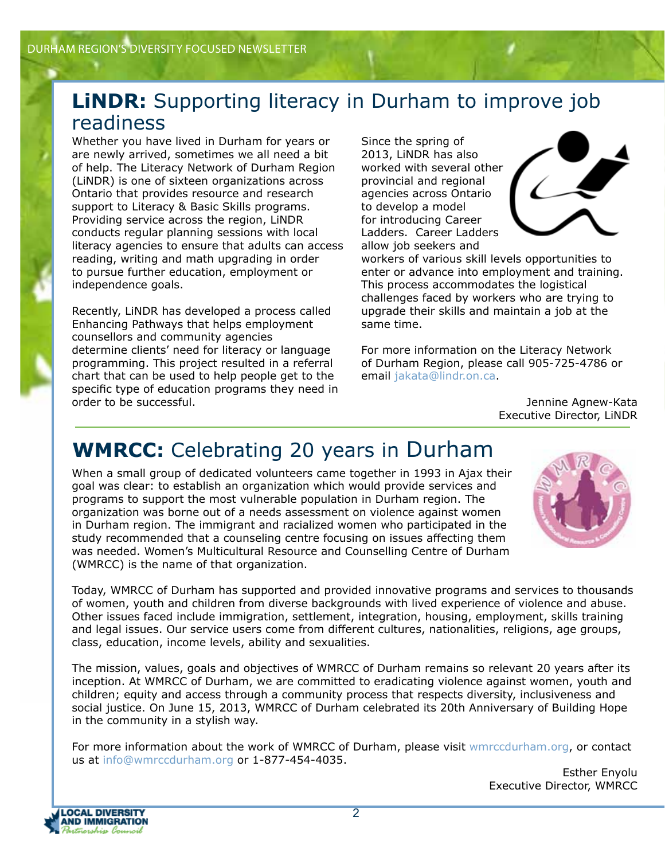#### **LINDR:** Supporting literacy in Durham to improve job readiness

Whether you have lived in Durham for years or are newly arrived, sometimes we all need a bit of help. The Literacy Network of Durham Region (LiNDR) is one of sixteen organizations across Ontario that provides resource and research support to Literacy & Basic Skills programs. Providing service across the region, LiNDR conducts regular planning sessions with local literacy agencies to ensure that adults can access reading, writing and math upgrading in order to pursue further education, employment or independence goals.

Recently, LiNDR has developed a process called Enhancing Pathways that helps employment counsellors and community agencies determine clients' need for literacy or language programming. This project resulted in a referral chart that can be used to help people get to the specific type of education programs they need in order to be successful.

Since the spring of 2013, LiNDR has also worked with several other provincial and regional agencies across Ontario to develop a model for introducing Career Ladders. Career Ladders allow job seekers and



workers of various skill levels opportunities to enter or advance into employment and training. This process accommodates the logistical challenges faced by workers who are trying to upgrade their skills and maintain a job at the same time.

For more information on the Literacy Network of Durham Region, please call 905-725-4786 or email jakata@lindr.on.ca.

> Jennine Agnew-Kata Executive Director, LiNDR

### **WMRCC:** Celebrating 20 years in Durham

When a small group of dedicated volunteers came together in 1993 in Ajax their goal was clear: to establish an organization which would provide services and programs to support the most vulnerable population in Durham region. The organization was borne out of a needs assessment on violence against women in Durham region. The immigrant and racialized women who participated in the study recommended that a counseling centre focusing on issues affecting them was needed. Women's Multicultural Resource and Counselling Centre of Durham (WMRCC) is the name of that organization.

Today, WMRCC of Durham has supported and provided innovative programs and services to thousands of women, youth and children from diverse backgrounds with lived experience of violence and abuse. Other issues faced include immigration, settlement, integration, housing, employment, skills training and legal issues. Our service users come from different cultures, nationalities, religions, age groups, class, education, income levels, ability and sexualities.

The mission, values, goals and objectives of WMRCC of Durham remains so relevant 20 years after its inception. At WMRCC of Durham, we are committed to eradicating violence against women, youth and children; equity and access through a community process that respects diversity, inclusiveness and social justice. On June 15, 2013, WMRCC of Durham celebrated its 20th Anniversary of Building Hope in the community in a stylish way.

For more information about the work of WMRCC of Durham, please visit wmrccdurham.org, or contact us at info@wmrccdurham.org or 1-877-454-4035.

Esther Enyolu Executive Director, WMRCC

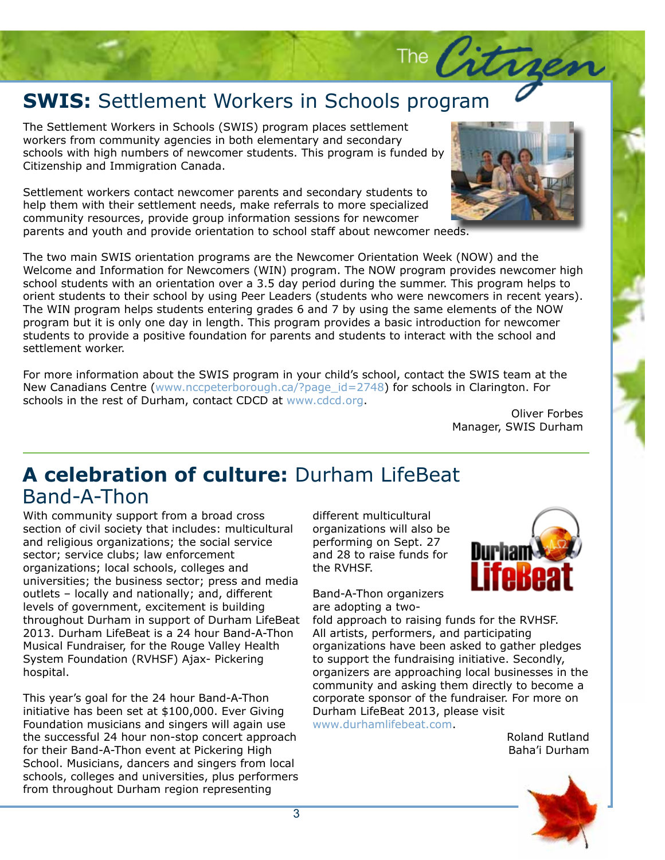# **SWIS:** Settlement Workers in Schools program<br>The Settlement Workers in Schools (SWIS) program places settlement

workers from community agencies in both elementary and secondary<br>schools with high numbers of newcomer students. This program is funded by<br>Citizenship and Immigration Canada The Settlement Workers in Schools (SWIS) program places settlement workers from community agencies in both elementary and secondary Citizenship and Immigration Canada.

Settlement workers contact newcomer parents and secondary students to help them with their settlement needs, make referrals to more specialized community resources, provide group information sessions for newcomer parents and youth and provide orientation to school staff about newcomer needs.



The Citr

program but it is only one day in length. This program provides a basic introduction for newcomer<br>students to provide a positive foundation for parents and students to interact with the school and<br>settlement worker. The two main SWIS orientation programs are the Newcomer Orientation Week (NOW) and the Welcome and Information for Newcomers (WIN) program. The NOW program provides newcomer high school students with an orientation over a 3.5 day period during the summer. This program helps to orient students to their school by using Peer Leaders (students who were newcomers in recent years). The WIN program helps students entering grades 6 and 7 by using the same elements of the NOW program but it is only one day in length. This program provides a basic introduction for helioconter<br>students to provide a positive foundation for parents and students to interact with the school and settlement worker.

For more information about the SWIS program in your child's school, contact the SWIS team at the Subheadline to go here. New Canadians Centre (www.nccpeterborough.ca/?page\_id=2748) for schools in Clarington. For schools in the rest of Durham, contact CDCD at www.cdcd.org.

> **Lorem insurance of order site and consected**  $O$ Manager, SWIS Durham

> > nul- la

### A celebration of culture: Durham LifeBeat Band-A-Thon

Subheadline to go here. sector; service clubs; law enforcement organizations; local schools, colleges and branes and the RVI universities; the business sector; press and media outlets - locally and nationally; and, different throughout Durham in support of Durham LifeBeat 2013. Durham LifeBeat is a 24 hour Band-A-Thon System Foundation (RVHSF) Ajax- Pickering hospital. Fusce justo massa, massa, massa, massa, massa, massa, massa, massa, massa, massa, massa, massa, mass With community support from a broad cross section of civil society that includes: multicultural and religious organizations; the social service levels of government, excitement is building Musical Fundraiser, for the Rouge Valley Health

end your bigger for the Ennear Bana American<br>initiative has been set at \$100,000. Ever Giving Foundation musicians and singers will again use the successful 24 hour non-stop concert approach for their band A Thon event at Fickering High-<br>School. Musicians, dancers and singers from local This year's goal for the 24 hour Band-A-Thon for their Band-A-Thon event at Pickering High schools, colleges and universities, plus performers from throughout Durham region representing

amerent muticulturar<br>organizations will also be  $\frac{1}{2}$ and 28 to raise funds for different multicultural performing on Sept. 27 the RVHSF.

Band-A-Thon organizers libero are adopting a two-

fold approach to raising funds for the RVHSF.<br>All artists marfame we and nartisination organizations have been asked to gather pledges to support the fundraising initiative. Secondly, organizers are approaching local businesses in the community and asking them directly to become a corporate sponsor of the fundraiser. For more on Durham LifeBeat 2013, please visit All artists, performers, and participating www.durhamlifebeat.com.

> pulvinar ligula non ipsum. Ut rutrum Roland Rutland eroluthan baha'i Durham

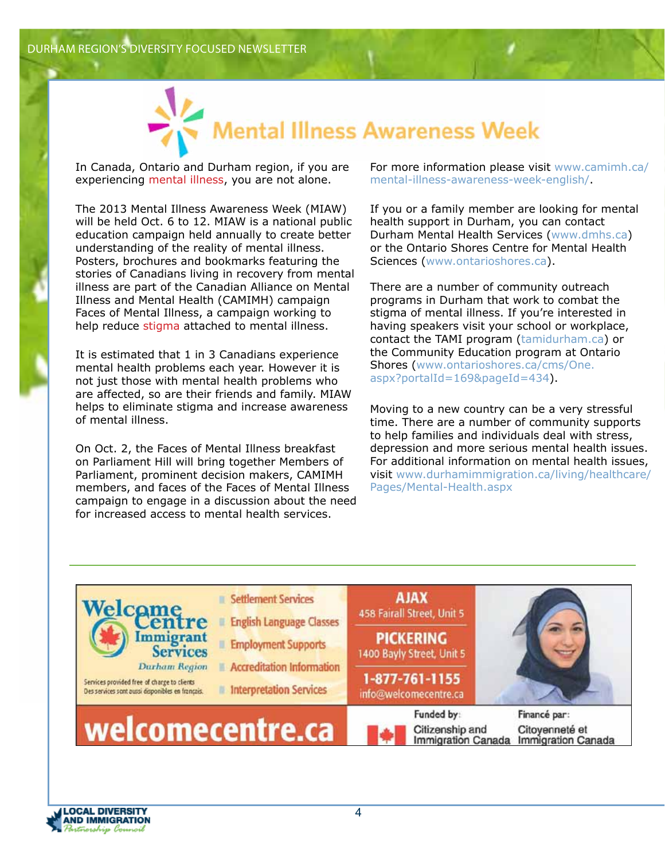

In Canada, Ontario and Durham region, if you are experiencing mental illness, you are not alone.

The 2013 Mental Illness Awareness Week (MIAW) will be held Oct. 6 to 12. MIAW is a national public education campaign held annually to create better understanding of the reality of mental illness. Posters, brochures and bookmarks featuring the stories of Canadians living in recovery from mental illness are part of the Canadian Alliance on Mental Illness and Mental Health (CAMIMH) campaign Faces of Mental Illness, a campaign working to help reduce stigma attached to mental illness.

It is estimated that 1 in 3 Canadians experience mental health problems each year. However it is not just those with mental health problems who are affected, so are their friends and family. MIAW helps to eliminate stigma and increase awareness of mental illness.

On Oct. 2, the Faces of Mental Illness breakfast on Parliament Hill will bring together Members of Parliament, prominent decision makers, CAMIMH members, and faces of the Faces of Mental Illness campaign to engage in a discussion about the need for increased access to mental health services.

For more information please visit www.camimh.ca/ mental-illness-awareness-week-english/.

If you or a family member are looking for mental health support in Durham, you can contact Durham Mental Health Services (www.dmhs.ca) or the Ontario Shores Centre for Mental Health Sciences (www.ontarioshores.ca).

There are a number of community outreach programs in Durham that work to combat the stigma of mental illness. If you're interested in having speakers visit your school or workplace, contact the TAMI program (tamidurham.ca) or the Community Education program at Ontario Shores (www.ontarioshores.ca/cms/One. aspx?portalId=169&pageId=434).

Moving to a new country can be a very stressful time. There are a number of community supports to help families and individuals deal with stress, depression and more serious mental health issues. For additional information on mental health issues, visit www.durhamimmigration.ca/living/healthcare/ Pages/Mental-Health.aspx



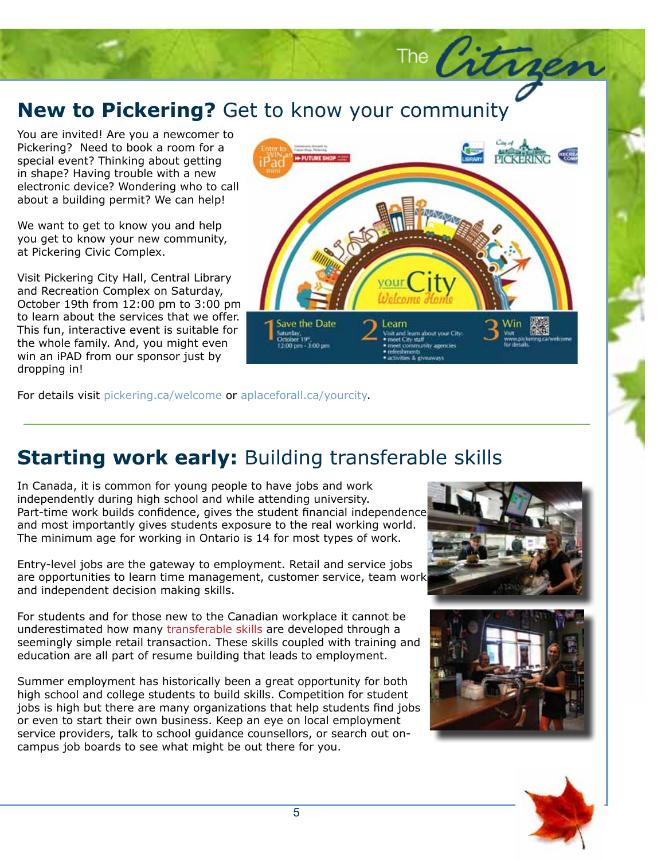#### **New to Pickering?** Get to **New to Pickering?** Get to know your community

The Groundsending you a moncomer.<br>Pickering? Need to book a room for a<br>special event? Thinking about getting in shape? Having trouble with a new  $\frac{1}{2}$  vehicular site and manufacture  $\frac{1}{2}$  and  $\frac{1}{2}$  and  $\frac{1}{2}$  and  $\frac{1}{2}$  and  $\frac{1}{2}$  and  $\frac{1}{2}$  and  $\frac{1}{2}$  and  $\frac{1}{2}$  and  $\frac{1}{2}$  and  $\frac{1}{2}$  and  $\frac{1}{2}$  and  $\frac{1}{2}$  and  $\frac{1}{2}$  an about a building permit? We can help! You are invited! Are you a newcomer to Pickering? Need to book a room for a electronic device? Wondering who to call

We want to get to know you and help you get to know your new community, at Pickering Civic Complex.

Visit Pickering City Hall, Central Library and recreation complex on batarday,<br>October 19th from 12:00 pm to 3:00 pm to learn about the services that we offer. This fun, interactive event is suitable for the whole family. And, you might even and Recreation Complex on Saturday, win an iPAD from our sponsor just by dropping in!

For details visit pickering.ca/welcome or aplaceforall.ca/yourcity.

### **Starting work early:** Building transferable skills

In Canada, it is common for young people to have jobs and work independently during high school and while attending university. Part-time work builds confidence, gives the student financial independence and most importantly gives students exposure to the real working world. The minimum age for working in Ontario is 14 for most types of work.

Entry-level jobs are the gateway to employment. Retail and service jobs are opportunities to learn time management, customer service, team work and independent decision making skills.

For students and for those new to the Canadian workplace it cannot be underestimated how many transferable skills are developed through a seemingly simple retail transaction. These skills coupled with training and education are all part of resume building that leads to employment.

Summer employment has historically been a great opportunity for both high school and college students to build skills. Competition for student jobs is high but there are many organizations that help students find jobs or even to start their own business. Keep an eye on local employment service providers, talk to school guidance counsellors, or search out oncampus job boards to see what might be out there for you.







The Citrages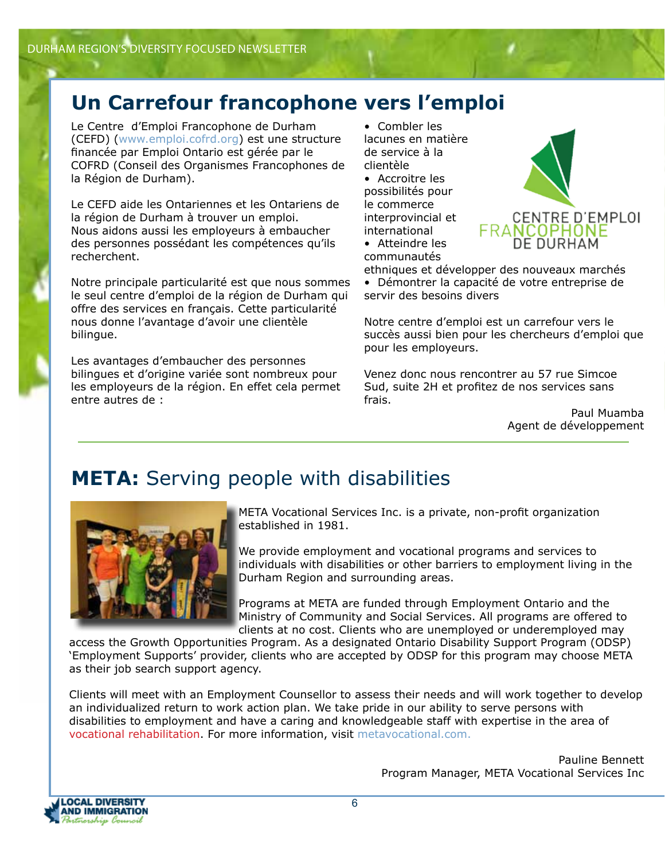### **Un Carrefour francophone vers l'emploi**

Le Centre d'Emploi Francophone de Durham (CEFD) (www.emploi.cofrd.org) est une structure financée par Emploi Ontario est gérée par le COFRD (Conseil des Organismes Francophones de la Région de Durham).

Le CEFD aide les Ontariennes et les Ontariens de la région de Durham à trouver un emploi. Nous aidons aussi les employeurs à embaucher des personnes possédant les compétences qu'ils recherchent.

Notre principale particularité est que nous sommes le seul centre d'emploi de la région de Durham qui offre des services en français. Cette particularité nous donne l'avantage d'avoir une clientèle bilingue.

Les avantages d'embaucher des personnes bilingues et d'origine variée sont nombreux pour les employeurs de la région. En effet cela permet entre autres de :

• Combler les lacunes en matière de service à la clientèle

• Accroitre les possibilités pour le commerce interprovincial et international • Atteindre les

communautés



ethniques et développer des nouveaux marchés • Démontrer la capacité de votre entreprise de servir des besoins divers

Notre centre d'emploi est un carrefour vers le succès aussi bien pour les chercheurs d'emploi que pour les employeurs.

Venez donc nous rencontrer au 57 rue Simcoe Sud, suite 2H et profitez de nos services sans frais.

> Paul Muamba Agent de développement

### **META:** Serving people with disabilities



META Vocational Services Inc. is a private, non-profit organization established in 1981.

We provide employment and vocational programs and services to individuals with disabilities or other barriers to employment living in the Durham Region and surrounding areas.

Programs at META are funded through Employment Ontario and the Ministry of Community and Social Services. All programs are offered to clients at no cost. Clients who are unemployed or underemployed may

access the Growth Opportunities Program. As a designated Ontario Disability Support Program (ODSP) 'Employment Supports' provider, clients who are accepted by ODSP for this program may choose META as their job search support agency.

Clients will meet with an Employment Counsellor to assess their needs and will work together to develop an individualized return to work action plan. We take pride in our ability to serve persons with disabilities to employment and have a caring and knowledgeable staff with expertise in the area of vocational rehabilitation. For more information, visit metavocational.com.

> Pauline Bennett Program Manager, META Vocational Services Inc

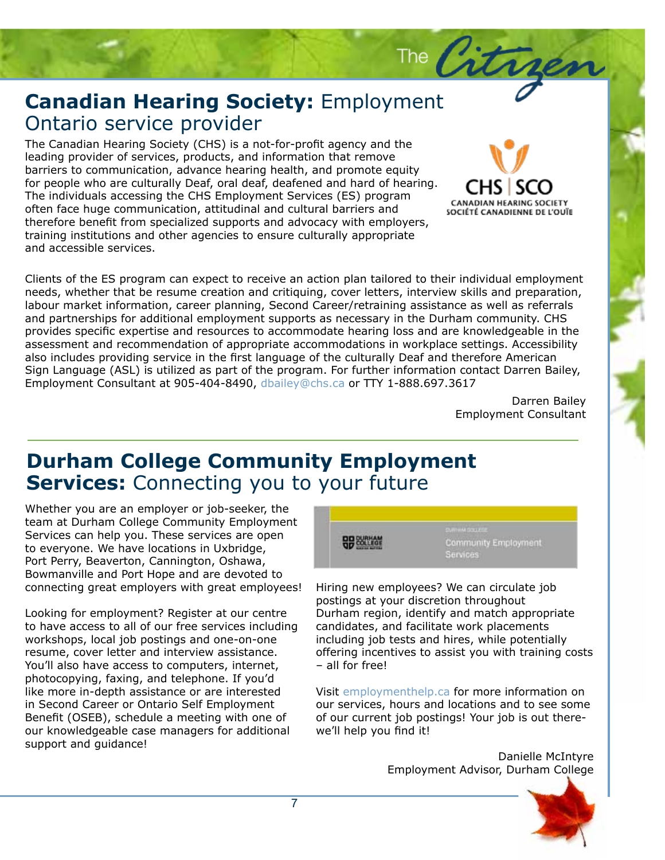### **Canadian Hearing Society:** Employment<br>Ontario service provider Ontario service provider

The Canadian Hearing Society (CHS) is a not-for-profit agency and the leading provider of services, products, and information that remove barriers to communication, advance hearing health, and promote equity for people who are culturally Deaf, oral deaf, deafened and hard of hearing. The individuals accessing the CHS Employment Services (ES) program often face huge communication, attitudinal and cultural barriers and therefore benefit from specialized supports and advocacy with employers, training institutions and other agencies to ensure culturally appropriate and accessible services.



Darren Bailey Employment Consultant

Lorem ipsum dolor sit amet, consectetuer

**CANADIAN HEARING SOCIETY** SOCIÉTÉ CANADIENNE DE L'OUÏE

#### **Durham College Community Employment** viverra consequat, leo quam molestie est, at facilisis massa leo ac nibh. Vivamus **Services:** Connecting you to your future

Whether you are an employer or job-seeker, the team at Durham College Community Employment Services can help you. These services are open to everyone. We have locations in Uxbridge, Port Perry, Beaverton, Cannington, Oshawa, Bowmanville and Port Hope and are devoted to connecting great employers with great employees!

Looking for employment? Register at our centre to have access to all of our free services including workshops, local job postings and one-on-one resume, cover letter and interview assistance. You'll also have access to computers, internet, photocopying, faxing, and telephone. If you'd like more in-depth assistance or are interested in Second Career or Ontario Self Employment Benefit (OSEB), schedule a meeting with one of our knowledgeable case managers for additional support and guidance!



The Citry

Hiring new employees? We can circulate job postings at your discretion throughout Durham region, identify and match appropriate candidates, and facilitate work placements including job tests and hires, while potentially offering incentives to assist you with training costs – all for free!

Visit employmenthelp.ca for more information on our services, hours and locations and to see some of our current job postings! Your job is out therewe'll help you find it!

> Danielle McIntyre Employment Advisor, Durham College

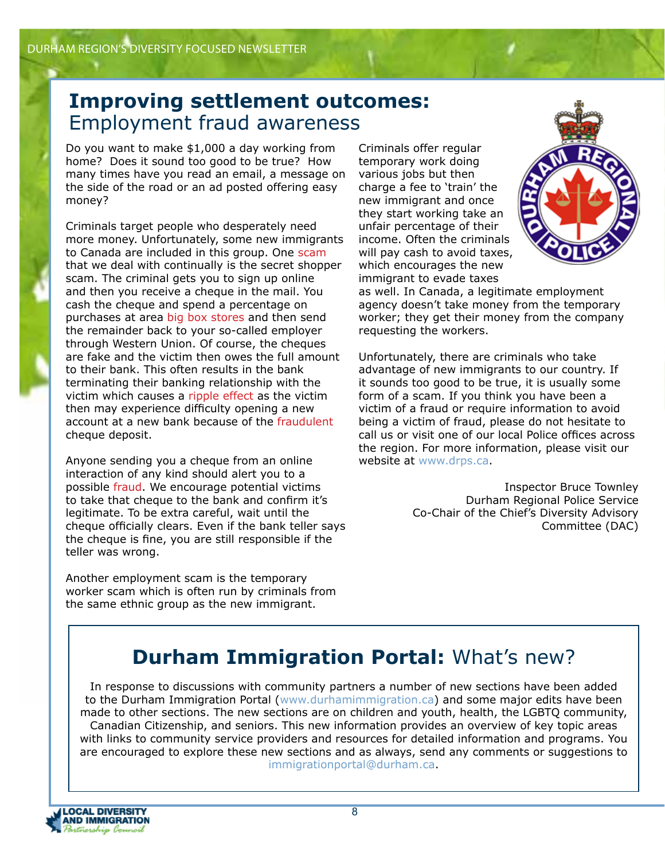#### **Improving settlement outcomes:**  Employment fraud awareness

Do you want to make \$1,000 a day working from home? Does it sound too good to be true? How many times have you read an email, a message on the side of the road or an ad posted offering easy money?

Criminals target people who desperately need more money. Unfortunately, some new immigrants to Canada are included in this group. One scam that we deal with continually is the secret shopper scam. The criminal gets you to sign up online and then you receive a cheque in the mail. You cash the cheque and spend a percentage on purchases at area big box stores and then send the remainder back to your so-called employer through Western Union. Of course, the cheques are fake and the victim then owes the full amount to their bank. This often results in the bank terminating their banking relationship with the victim which causes a ripple effect as the victim then may experience difficulty opening a new account at a new bank because of the fraudulent cheque deposit.

Anyone sending you a cheque from an online interaction of any kind should alert you to a possible fraud. We encourage potential victims to take that cheque to the bank and confirm it's legitimate. To be extra careful, wait until the cheque officially clears. Even if the bank teller says the cheque is fine, you are still responsible if the teller was wrong.

Another employment scam is the temporary worker scam which is often run by criminals from the same ethnic group as the new immigrant.

Criminals offer regular temporary work doing various jobs but then charge a fee to 'train' the new immigrant and once they start working take an unfair percentage of their income. Often the criminals will pay cash to avoid taxes, which encourages the new immigrant to evade taxes



as well. In Canada, a legitimate employment agency doesn't take money from the temporary worker; they get their money from the company requesting the workers.

Unfortunately, there are criminals who take advantage of new immigrants to our country. If it sounds too good to be true, it is usually some form of a scam. If you think you have been a victim of a fraud or require information to avoid being a victim of fraud, please do not hesitate to call us or visit one of our local Police offices across the region. For more information, please visit our website at www.drps.ca.

> Inspector Bruce Townley Durham Regional Police Service Co-Chair of the Chief's Diversity Advisory Committee (DAC)

### **Durham Immigration Portal: What's new?**

In response to discussions with community partners a number of new sections have been added to the Durham Immigration Portal (www.durhamimmigration.ca) and some major edits have been made to other sections. The new sections are on children and youth, health, the LGBTQ community, Canadian Citizenship, and seniors. This new information provides an overview of key topic areas with links to community service providers and resources for detailed information and programs. You are encouraged to explore these new sections and as always, send any comments or suggestions to immigrationportal@durham.ca.

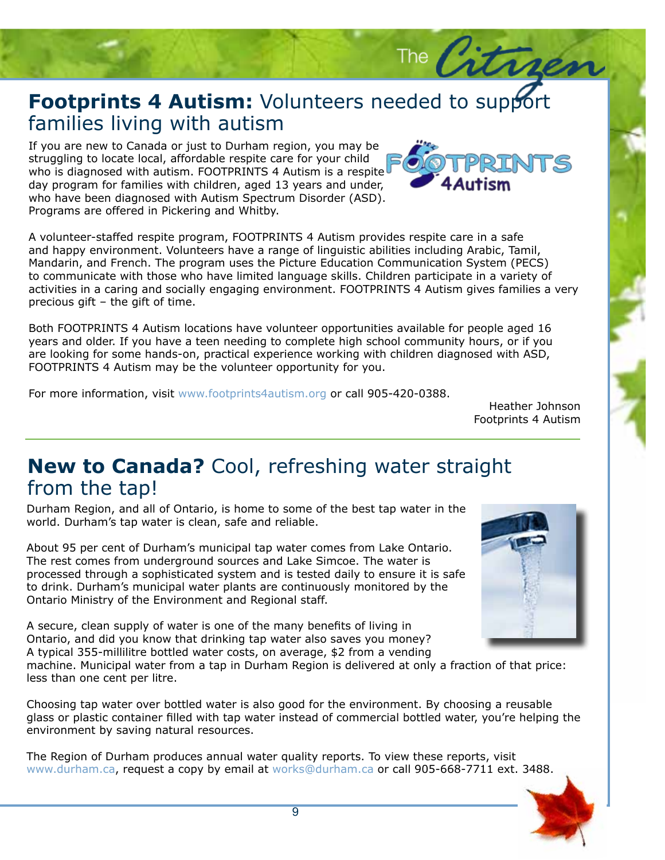### Footprints 4 Autism: Vo<br>families living with autism **Footprints 4 Autism:** Volunteers needed to support

If you are new to Canada or just to Durham region, you may be struggling to locate local, affordable respite care for your child who is diagnosed with autism. FOOTPRINTS 4 Autism is a respite aay program for families with emiaren, agea 15 years and anaer, who have been diagnosed with Autism Spectrum Disorder (ASD). Programs are offered in Pickering and Whitby. If you are new to Canada or just to Durham region, you may be day program for families with children, aged 13 years and under,



The  $\beta$ 

A volunteer-staffed respite program, FOOTPRINTS 4 Autism provides respite care in a safe and happy environment. Volunteers have a range of linguistic abilities including Arabic, Tamil, Mandarin, and French. The program uses the Picture Education Communication System (PECS) to communicate with those who have immed language skills. Children participate in a variety of activities in a caring and socially engaging environment. FOOTPRINTS 4 Autism gives families a very precious gift – the gift of time.  $\frac{1}{2}$ to communicate with those who have limited language skills. Children participate in a variety of

Both FOOTPRINTS 4 Autism locations have volunteer opportunities available for people aged 16<br>years and older. If you have a teen needing to complete high school community hours, or if you<br>are looking for same bands on arac the diagnosed mention, years and older. If you have a teen needing to complete high school community hours, or if you are looking for some hands-on, practical experience working with children diagnosed with ASD, FOOTPRINTS 4 Autism may be the volunteer opportunity for you.

For more information, visit www.footprints4autism.org or call 905-420-0388.

Heather Johnson Footprints 4 Autism

#### **New to Canada?** Cool, refreshing water straight from the tap!

Durham Region, and all of Ontario, is home to some of the best tap water in the world. Durham's tap water is clean, safe and reliable.

About 95 per cent of Durham's municipal tap water comes from Lake Ontario. The rest comes from underground sources and Lake Simcoe. The water is processed through a sophisticated system and is tested daily to ensure it is safe to drink. Durham's municipal water plants are continuously monitored by the Ontario Ministry of the Environment and Regional staff.

A secure, clean supply of water is one of the many benefits of living in Ontario, and did you know that drinking tap water also saves you money? A typical 355-millilitre bottled water costs, on average, \$2 from a vending

machine. Municipal water from a tap in Durham Region is delivered at only a fraction of that price: less than one cent per litre.

Choosing tap water over bottled water is also good for the environment. By choosing a reusable glass or plastic container filled with tap water instead of commercial bottled water, you're helping the environment by saving natural resources.

The Region of Durham produces annual water quality reports. To view these reports, visit www.durham.ca, request a copy by email at works@durham.ca or call 905-668-7711 ext. 3488.

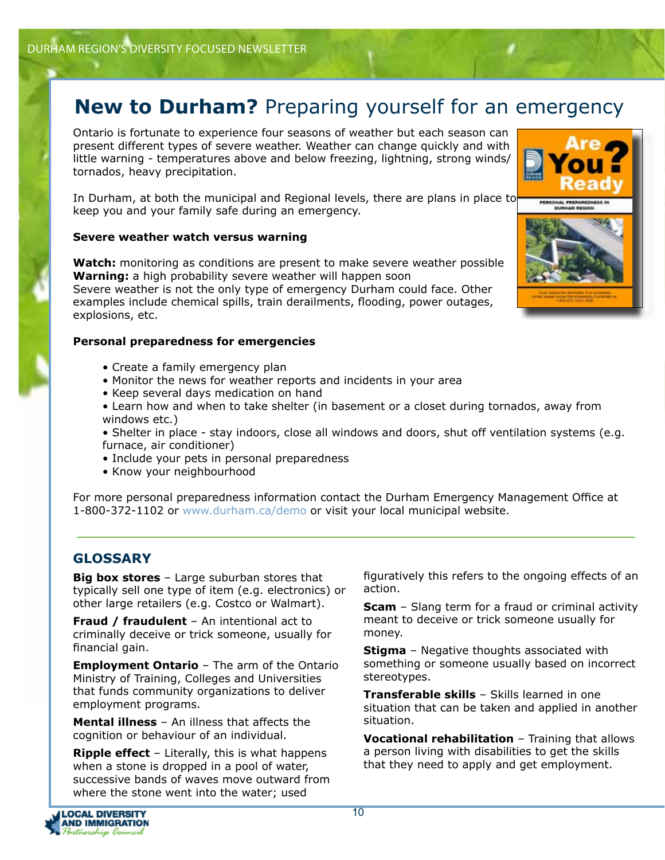#### **New to Durham?** Preparing yourself for an emergency

Ontario is fortunate to experience four seasons of weather but each season can present different types of severe weather. Weather can change quickly and with little warning - temperatures above and below freezing, lightning, strong winds/ tornados, heavy precipitation.

In Durham, at both the municipal and Regional levels, there are plans in place to keep you and your family safe during an emergency.

#### **Severe weather watch versus warning**

**Watch:** monitoring as conditions are present to make severe weather possible **Warning:** a high probability severe weather will happen soon Severe weather is not the only type of emergency Durham could face. Other examples include chemical spills, train derailments, flooding, power outages, explosions, etc.

#### **Personal preparedness for emergencies**

- Create a family emergency plan
- Monitor the news for weather reports and incidents in your area
- Keep several days medication on hand
- Learn how and when to take shelter (in basement or a closet during tornados, away from windows etc.)
- Shelter in place stay indoors, close all windows and doors, shut off ventilation systems (e.g. furnace, air conditioner)
- Include your pets in personal preparedness
- Know your neighbourhood

For more personal preparedness information contact the Durham Emergency Management Office at 1-800-372-1102 or www.durham.ca/demo or visit your local municipal website.

#### **GLOSSARY**

**Big box stores** – Large suburban stores that typically sell one type of item (e.g. electronics) or other large retailers (e.g. Costco or Walmart).

**Fraud / fraudulent** – An intentional act to criminally deceive or trick someone, usually for financial gain.

**Employment Ontario** – The arm of the Ontario Ministry of Training, Colleges and Universities that funds community organizations to deliver employment programs.

**Mental illness** – An illness that affects the cognition or behaviour of an individual.

**Ripple effect** – Literally, this is what happens when a stone is dropped in a pool of water, successive bands of waves move outward from where the stone went into the water; used

figuratively this refers to the ongoing effects of an action.

**Scam** – Slang term for a fraud or criminal activity meant to deceive or trick someone usually for money.

**Stigma** – Negative thoughts associated with something or someone usually based on incorrect stereotypes.

**Transferable skills** – Skills learned in one situation that can be taken and applied in another situation.

**Vocational rehabilitation** – Training that allows a person living with disabilities to get the skills that they need to apply and get employment.



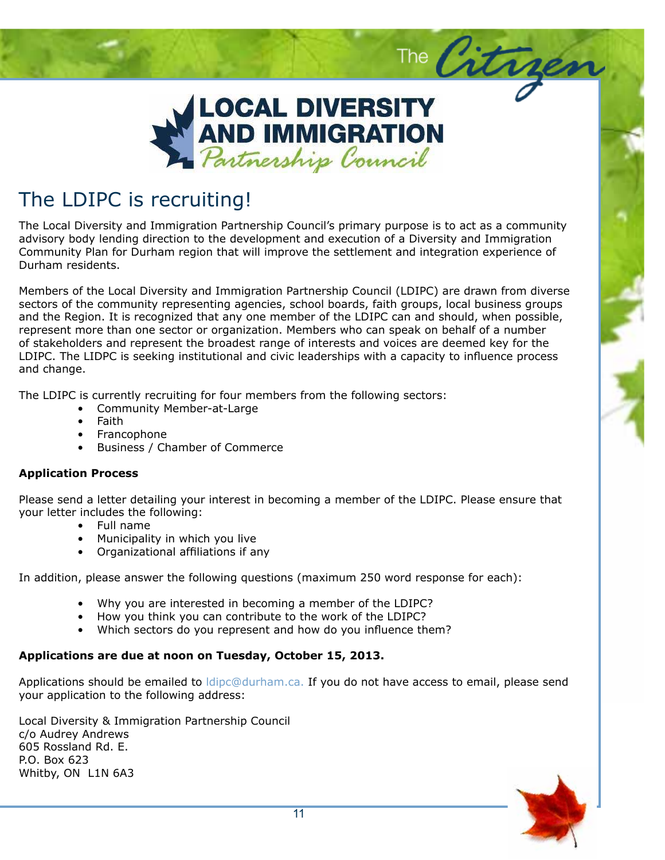

#### $\mathsf{P}_{\mathsf{A}}$  in  $\mathsf{P}$  . Although sample  $\mathsf{P}$ The LDIPC is recruiting!

The Local Diversity and Immigration Partnership Council's primary purpose is to act as a community advisory body lending direction to the development and execution of a Diversity and Immigration Community Plan for Durham region that will improve the settlement and integration experience of Durham residents.

Members of the Local Diversity and Immigration Partnership Council (LDIPC) are drawn from diverse sectors of the community representing agencies, school boards, faith groups, local business groups and the Region. It is recognized that any one member of the LDIPC can and should, when possible, represent more than one sector or organization. Members who can speak on behalf of a number of stakeholders and represent the broadest range of interests and voices are deemed key for the LDIPC. The LIDPC is seeking institutional and civic leaderships with a capacity to influence process and change.

The LDIPC is currently recruiting for four members from the following sectors:

- Community Member-at-Large
	- Faith
	- Francophone
	- Business / Chamber of Commerce

#### **Application Process**

Please send a letter detailing your interest in becoming a member of the LDIPC. Please ensure that your letter includes the following:

- Full name
- Municipality in which you live
- Organizational affiliations if any

In addition, please answer the following questions (maximum 250 word response for each):

- Why you are interested in becoming a member of the LDIPC?
- How you think you can contribute to the work of the LDIPC?
- Which sectors do you represent and how do you influence them?

#### **Applications are due at noon on Tuesday, October 15, 2013.**

Applications should be emailed to *ldipc@durham.ca.* If you do not have access to email, please send your application to the following address:

Local Diversity & Immigration Partnership Council c/o Audrey Andrews 605 Rossland Rd. E. P.O. Box 623 Whitby, ON L1N 6A3